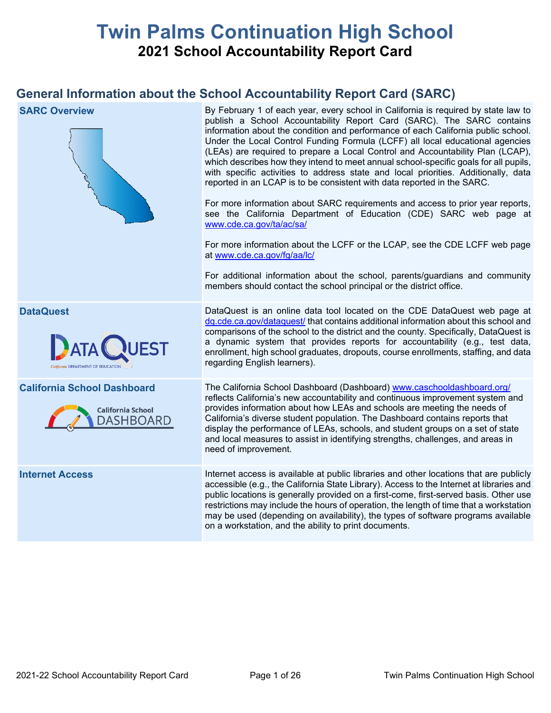# **Twin Palms Continuation High School 2021 School Accountability Report Card**

# **General Information about the School Accountability Report Card (SARC)**

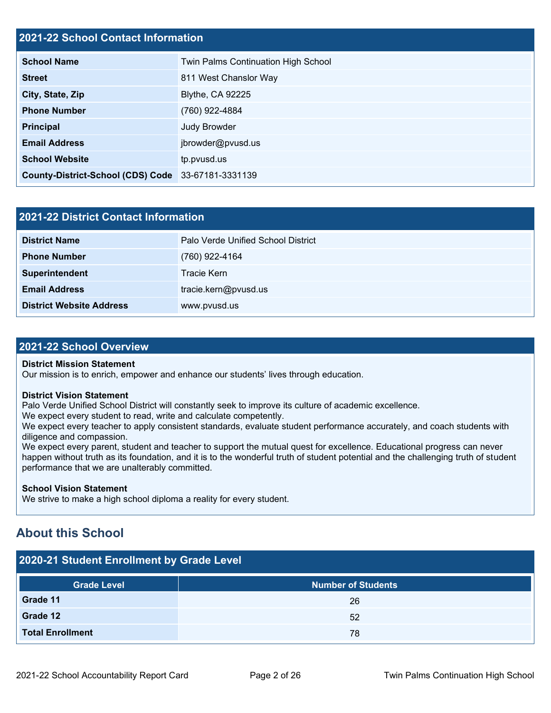### **2021-22 School Contact Information**

| <b>School Name</b>                                 | Twin Palms Continuation High School |
|----------------------------------------------------|-------------------------------------|
| <b>Street</b>                                      | 811 West Chanslor Way               |
| City, State, Zip                                   | <b>Blythe, CA 92225</b>             |
| <b>Phone Number</b>                                | (760) 922-4884                      |
| <b>Principal</b>                                   | Judy Browder                        |
| <b>Email Address</b>                               | jbrowder@pvusd.us                   |
| <b>School Website</b>                              | tp.pvusd.us                         |
| County-District-School (CDS) Code 33-67181-3331139 |                                     |

| 2021-22 District Contact Information |                                    |  |  |  |
|--------------------------------------|------------------------------------|--|--|--|
| <b>District Name</b>                 | Palo Verde Unified School District |  |  |  |
| <b>Phone Number</b>                  | (760) 922-4164                     |  |  |  |
| Superintendent                       | Tracie Kern                        |  |  |  |
| <b>Email Address</b>                 | tracie.kern@pvusd.us               |  |  |  |
| <b>District Website Address</b>      | www.pvusd.us                       |  |  |  |

### **2021-22 School Overview**

### **District Mission Statement**

Our mission is to enrich, empower and enhance our students' lives through education.

### **District Vision Statement**

Palo Verde Unified School District will constantly seek to improve its culture of academic excellence.

We expect every student to read, write and calculate competently.

We expect every teacher to apply consistent standards, evaluate student performance accurately, and coach students with diligence and compassion.

We expect every parent, student and teacher to support the mutual quest for excellence. Educational progress can never happen without truth as its foundation, and it is to the wonderful truth of student potential and the challenging truth of student performance that we are unalterably committed.

### **School Vision Statement**

We strive to make a high school diploma a reality for every student.

# **About this School**

| 2020-21 Student Enrollment by Grade Level |                           |  |  |  |  |
|-------------------------------------------|---------------------------|--|--|--|--|
| <b>Grade Level</b>                        | <b>Number of Students</b> |  |  |  |  |
| Grade 11                                  | 26                        |  |  |  |  |
| Grade 12                                  | 52                        |  |  |  |  |
| <b>Total Enrollment</b>                   | 78                        |  |  |  |  |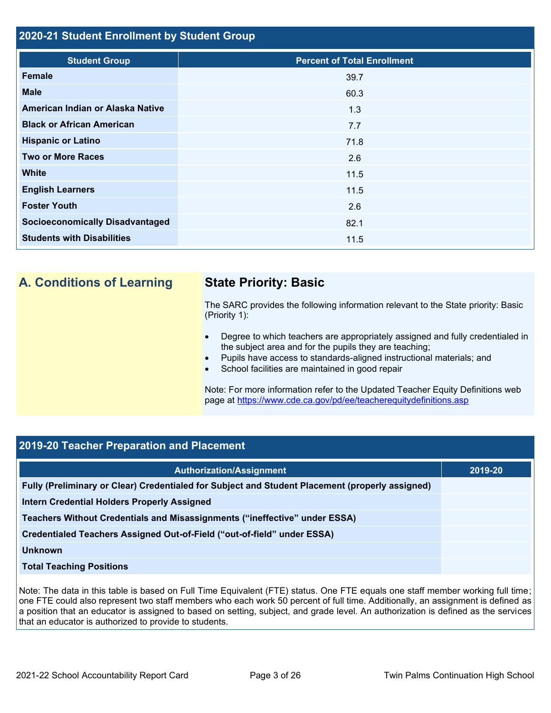### **2020-21 Student Enrollment by Student Group**

| <b>Student Group</b>                   | <b>Percent of Total Enrollment</b> |
|----------------------------------------|------------------------------------|
| Female                                 | 39.7                               |
| <b>Male</b>                            | 60.3                               |
| American Indian or Alaska Native       | 1.3                                |
| <b>Black or African American</b>       | 7.7                                |
| <b>Hispanic or Latino</b>              | 71.8                               |
| <b>Two or More Races</b>               | 2.6                                |
| <b>White</b>                           | 11.5                               |
| <b>English Learners</b>                | 11.5                               |
| <b>Foster Youth</b>                    | 2.6                                |
| <b>Socioeconomically Disadvantaged</b> | 82.1                               |
| <b>Students with Disabilities</b>      | 11.5                               |

# **A. Conditions of Learning State Priority: Basic**

The SARC provides the following information relevant to the State priority: Basic (Priority 1):

- Degree to which teachers are appropriately assigned and fully credentialed in the subject area and for the pupils they are teaching;
- Pupils have access to standards-aligned instructional materials; and
- School facilities are maintained in good repair

Note: For more information refer to the Updated Teacher Equity Definitions web page at<https://www.cde.ca.gov/pd/ee/teacherequitydefinitions.asp>

### **2019-20 Teacher Preparation and Placement**

| <b>Authorization/Assignment</b>                                                                 | 2019-20 |
|-------------------------------------------------------------------------------------------------|---------|
| Fully (Preliminary or Clear) Credentialed for Subject and Student Placement (properly assigned) |         |
| Intern Credential Holders Properly Assigned                                                     |         |
| Teachers Without Credentials and Misassignments ("ineffective" under ESSA)                      |         |
| Credentialed Teachers Assigned Out-of-Field ("out-of-field" under ESSA)                         |         |
| Unknown                                                                                         |         |
| <b>Total Teaching Positions</b>                                                                 |         |
|                                                                                                 |         |

Note: The data in this table is based on Full Time Equivalent (FTE) status. One FTE equals one staff member working full time; one FTE could also represent two staff members who each work 50 percent of full time. Additionally, an assignment is defined as a position that an educator is assigned to based on setting, subject, and grade level. An authorization is defined as the services that an educator is authorized to provide to students.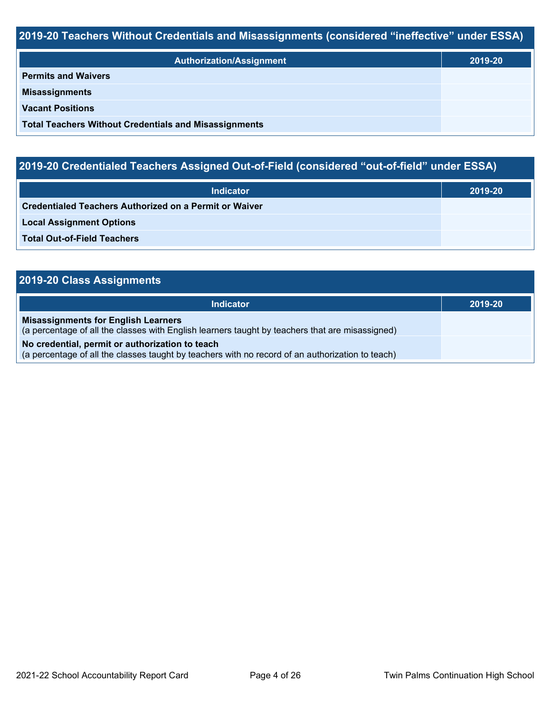# **2019-20 Teachers Without Credentials and Misassignments (considered "ineffective" under ESSA)**

| <b>Authorization/Assignment</b>                              | 2019-20 |
|--------------------------------------------------------------|---------|
| <b>Permits and Waivers</b>                                   |         |
| <b>Misassignments</b>                                        |         |
| <b>Vacant Positions</b>                                      |         |
| <b>Total Teachers Without Credentials and Misassignments</b> |         |

# **2019-20 Credentialed Teachers Assigned Out-of-Field (considered "out-of-field" under ESSA)**

| <b>Indicator</b>                                              | 2019-20 |
|---------------------------------------------------------------|---------|
| <b>Credentialed Teachers Authorized on a Permit or Waiver</b> |         |
| <b>Local Assignment Options</b>                               |         |
| <b>Total Out-of-Field Teachers</b>                            |         |

### **2019-20 Class Assignments**

| <b>Indicator</b>                                                                                                                                    | 2019-20 |
|-----------------------------------------------------------------------------------------------------------------------------------------------------|---------|
| <b>Misassignments for English Learners</b><br>(a percentage of all the classes with English learners taught by teachers that are misassigned)       |         |
| No credential, permit or authorization to teach<br>(a percentage of all the classes taught by teachers with no record of an authorization to teach) |         |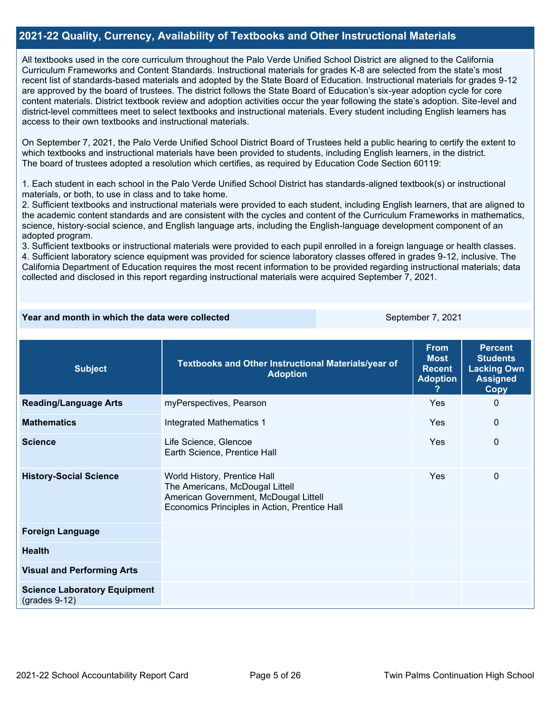### **2021-22 Quality, Currency, Availability of Textbooks and Other Instructional Materials**

All textbooks used in the core curriculum throughout the Palo Verde Unified School District are aligned to the California Curriculum Frameworks and Content Standards. Instructional materials for grades K-8 are selected from the state's most recent list of standards-based materials and adopted by the State Board of Education. Instructional materials for grades 9-12 are approved by the board of trustees. The district follows the State Board of Education's six-year adoption cycle for core content materials. District textbook review and adoption activities occur the year following the state's adoption. Site-level and district-level committees meet to select textbooks and instructional materials. Every student including English learners has access to their own textbooks and instructional materials.

On September 7, 2021, the Palo Verde Unified School District Board of Trustees held a public hearing to certify the extent to which textbooks and instructional materials have been provided to students, including English learners, in the district. The board of trustees adopted a resolution which certifies, as required by Education Code Section 60119:

1. Each student in each school in the Palo Verde Unified School District has standards-aligned textbook(s) or instructional materials, or both, to use in class and to take home.

2. Sufficient textbooks and instructional materials were provided to each student, including English learners, that are aligned to the academic content standards and are consistent with the cycles and content of the Curriculum Frameworks in mathematics, science, history-social science, and English language arts, including the English-language development component of an adopted program.

3. Sufficient textbooks or instructional materials were provided to each pupil enrolled in a foreign language or health classes. 4. Sufficient laboratory science equipment was provided for science laboratory classes offered in grades 9-12, inclusive. The California Department of Education requires the most recent information to be provided regarding instructional materials; data collected and disclosed in this report regarding instructional materials were acquired September 7, 2021.

### **Year and month in which the data were collected** September 7, 2021

| <b>Subject</b>                                         | Textbooks and Other Instructional Materials/year of<br><b>Adoption</b>                                                                                    | <b>From</b><br><b>Most</b><br><b>Recent</b><br><b>Adoption</b> | <b>Percent</b><br><b>Students</b><br><b>Lacking Own</b><br><b>Assigned</b><br><b>Copy</b> |
|--------------------------------------------------------|-----------------------------------------------------------------------------------------------------------------------------------------------------------|----------------------------------------------------------------|-------------------------------------------------------------------------------------------|
| <b>Reading/Language Arts</b>                           | myPerspectives, Pearson                                                                                                                                   | Yes                                                            | $\Omega$                                                                                  |
| <b>Mathematics</b>                                     | <b>Integrated Mathematics 1</b>                                                                                                                           | Yes                                                            | $\mathbf{0}$                                                                              |
| <b>Science</b>                                         | Life Science, Glencoe<br>Earth Science, Prentice Hall                                                                                                     | Yes                                                            | $\Omega$                                                                                  |
| <b>History-Social Science</b>                          | World History, Prentice Hall<br>The Americans, McDougal Littell<br>American Government, McDougal Littell<br>Economics Principles in Action, Prentice Hall | Yes                                                            | 0                                                                                         |
| <b>Foreign Language</b>                                |                                                                                                                                                           |                                                                |                                                                                           |
| <b>Health</b>                                          |                                                                                                                                                           |                                                                |                                                                                           |
| <b>Visual and Performing Arts</b>                      |                                                                                                                                                           |                                                                |                                                                                           |
| <b>Science Laboratory Equipment</b><br>$(grades 9-12)$ |                                                                                                                                                           |                                                                |                                                                                           |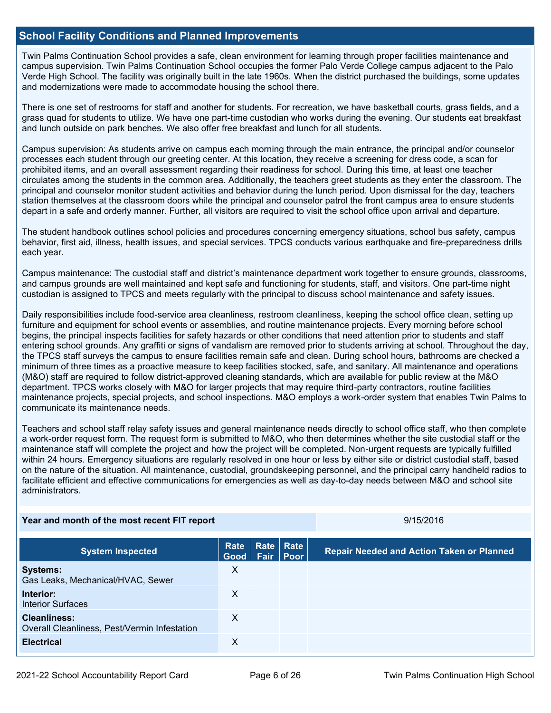### **School Facility Conditions and Planned Improvements**

Twin Palms Continuation School provides a safe, clean environment for learning through proper facilities maintenance and campus supervision. Twin Palms Continuation School occupies the former Palo Verde College campus adjacent to the Palo Verde High School. The facility was originally built in the late 1960s. When the district purchased the buildings, some updates and modernizations were made to accommodate housing the school there.

There is one set of restrooms for staff and another for students. For recreation, we have basketball courts, grass fields, and a grass quad for students to utilize. We have one part-time custodian who works during the evening. Our students eat breakfast and lunch outside on park benches. We also offer free breakfast and lunch for all students.

Campus supervision: As students arrive on campus each morning through the main entrance, the principal and/or counselor processes each student through our greeting center. At this location, they receive a screening for dress code, a scan for prohibited items, and an overall assessment regarding their readiness for school. During this time, at least one teacher circulates among the students in the common area. Additionally, the teachers greet students as they enter the classroom. The principal and counselor monitor student activities and behavior during the lunch period. Upon dismissal for the day, teachers station themselves at the classroom doors while the principal and counselor patrol the front campus area to ensure students depart in a safe and orderly manner. Further, all visitors are required to visit the school office upon arrival and departure.

The student handbook outlines school policies and procedures concerning emergency situations, school bus safety, campus behavior, first aid, illness, health issues, and special services. TPCS conducts various earthquake and fire-preparedness drills each year.

Campus maintenance: The custodial staff and district's maintenance department work together to ensure grounds, classrooms, and campus grounds are well maintained and kept safe and functioning for students, staff, and visitors. One part-time night custodian is assigned to TPCS and meets regularly with the principal to discuss school maintenance and safety issues.

Daily responsibilities include food-service area cleanliness, restroom cleanliness, keeping the school office clean, setting up furniture and equipment for school events or assemblies, and routine maintenance projects. Every morning before school begins, the principal inspects facilities for safety hazards or other conditions that need attention prior to students and staff entering school grounds. Any graffiti or signs of vandalism are removed prior to students arriving at school. Throughout the day, the TPCS staff surveys the campus to ensure facilities remain safe and clean. During school hours, bathrooms are checked a minimum of three times as a proactive measure to keep facilities stocked, safe, and sanitary. All maintenance and operations (M&O) staff are required to follow district-approved cleaning standards, which are available for public review at the M&O department. TPCS works closely with M&O for larger projects that may require third-party contractors, routine facilities maintenance projects, special projects, and school inspections. M&O employs a work-order system that enables Twin Palms to communicate its maintenance needs.

Teachers and school staff relay safety issues and general maintenance needs directly to school office staff, who then complete a work-order request form. The request form is submitted to M&O, who then determines whether the site custodial staff or the maintenance staff will complete the project and how the project will be completed. Non-urgent requests are typically fulfilled within 24 hours. Emergency situations are regularly resolved in one hour or less by either site or district custodial staff, based on the nature of the situation. All maintenance, custodial, groundskeeping personnel, and the principal carry handheld radios to facilitate efficient and effective communications for emergencies as well as day-to-day needs between M&O and school site administrators.

| Year and month of the most recent FIT report                        |                     |                            |             | 9/15/2016                                        |  |  |
|---------------------------------------------------------------------|---------------------|----------------------------|-------------|--------------------------------------------------|--|--|
| <b>System Inspected</b>                                             | <b>Rate</b><br>Good | Rate   Rate<br><b>Fair</b> | <b>Poor</b> | <b>Repair Needed and Action Taken or Planned</b> |  |  |
| <b>Systems:</b><br>Gas Leaks, Mechanical/HVAC, Sewer                | X                   |                            |             |                                                  |  |  |
| Interior:<br><b>Interior Surfaces</b>                               | X                   |                            |             |                                                  |  |  |
| <b>Cleanliness:</b><br>Overall Cleanliness, Pest/Vermin Infestation | X                   |                            |             |                                                  |  |  |
| <b>Electrical</b>                                                   | Χ                   |                            |             |                                                  |  |  |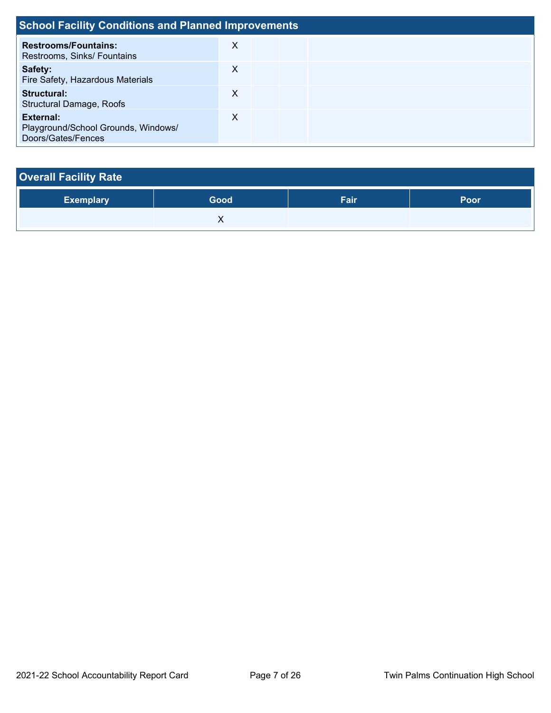| <b>School Facility Conditions and Planned Improvements</b>             |   |  |  |  |
|------------------------------------------------------------------------|---|--|--|--|
| <b>Restrooms/Fountains:</b><br>Restrooms, Sinks/ Fountains             | X |  |  |  |
| Safety:<br>Fire Safety, Hazardous Materials                            | X |  |  |  |
| <b>Structural:</b><br><b>Structural Damage, Roofs</b>                  | X |  |  |  |
| External:<br>Playground/School Grounds, Windows/<br>Doors/Gates/Fences | X |  |  |  |

| <b>Overall Facility Rate</b> |      |      |      |  |  |  |
|------------------------------|------|------|------|--|--|--|
| <b>Exemplary</b>             | Good | Fair | Poor |  |  |  |
|                              |      |      |      |  |  |  |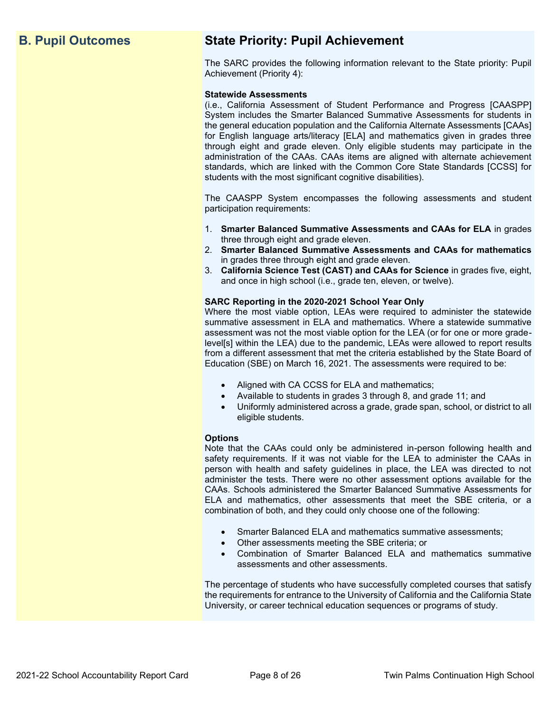# **B. Pupil Outcomes State Priority: Pupil Achievement**

The SARC provides the following information relevant to the State priority: Pupil Achievement (Priority 4):

### **Statewide Assessments**

(i.e., California Assessment of Student Performance and Progress [CAASPP] System includes the Smarter Balanced Summative Assessments for students in the general education population and the California Alternate Assessments [CAAs] for English language arts/literacy [ELA] and mathematics given in grades three through eight and grade eleven. Only eligible students may participate in the administration of the CAAs. CAAs items are aligned with alternate achievement standards, which are linked with the Common Core State Standards [CCSS] for students with the most significant cognitive disabilities).

The CAASPP System encompasses the following assessments and student participation requirements:

- 1. **Smarter Balanced Summative Assessments and CAAs for ELA** in grades three through eight and grade eleven.
- 2. **Smarter Balanced Summative Assessments and CAAs for mathematics** in grades three through eight and grade eleven.
- 3. **California Science Test (CAST) and CAAs for Science** in grades five, eight, and once in high school (i.e., grade ten, eleven, or twelve).

### **SARC Reporting in the 2020-2021 School Year Only**

Where the most viable option, LEAs were required to administer the statewide summative assessment in ELA and mathematics. Where a statewide summative assessment was not the most viable option for the LEA (or for one or more gradelevel[s] within the LEA) due to the pandemic, LEAs were allowed to report results from a different assessment that met the criteria established by the State Board of Education (SBE) on March 16, 2021. The assessments were required to be:

- Aligned with CA CCSS for ELA and mathematics;
- Available to students in grades 3 through 8, and grade 11; and
- Uniformly administered across a grade, grade span, school, or district to all eligible students.

### **Options**

Note that the CAAs could only be administered in-person following health and safety requirements. If it was not viable for the LEA to administer the CAAs in person with health and safety guidelines in place, the LEA was directed to not administer the tests. There were no other assessment options available for the CAAs. Schools administered the Smarter Balanced Summative Assessments for ELA and mathematics, other assessments that meet the SBE criteria, or a combination of both, and they could only choose one of the following:

- Smarter Balanced ELA and mathematics summative assessments;
- Other assessments meeting the SBE criteria; or
- Combination of Smarter Balanced ELA and mathematics summative assessments and other assessments.

The percentage of students who have successfully completed courses that satisfy the requirements for entrance to the University of California and the California State University, or career technical education sequences or programs of study.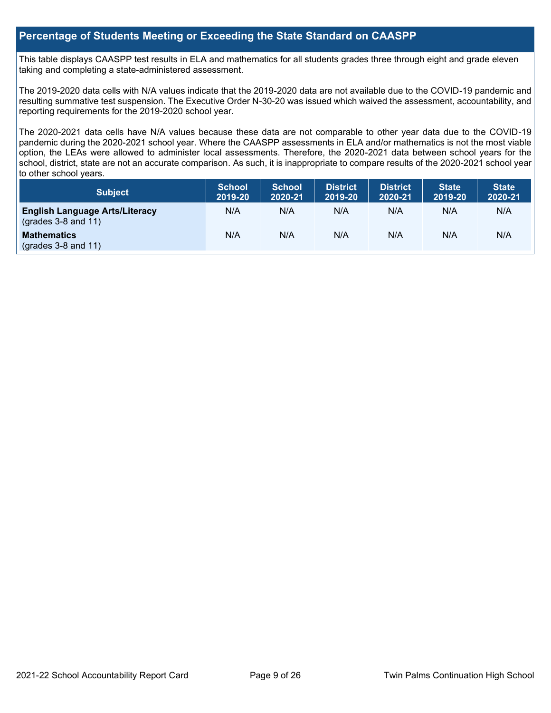### **Percentage of Students Meeting or Exceeding the State Standard on CAASPP**

This table displays CAASPP test results in ELA and mathematics for all students grades three through eight and grade eleven taking and completing a state-administered assessment.

The 2019-2020 data cells with N/A values indicate that the 2019-2020 data are not available due to the COVID-19 pandemic and resulting summative test suspension. The Executive Order N-30-20 was issued which waived the assessment, accountability, and reporting requirements for the 2019-2020 school year.

The 2020-2021 data cells have N/A values because these data are not comparable to other year data due to the COVID-19 pandemic during the 2020-2021 school year. Where the CAASPP assessments in ELA and/or mathematics is not the most viable option, the LEAs were allowed to administer local assessments. Therefore, the 2020-2021 data between school years for the school, district, state are not an accurate comparison. As such, it is inappropriate to compare results of the 2020-2021 school year to other school years.

| Subject                                                              | <b>School</b><br>2019-20 | <b>School</b><br>2020-21 | <b>District</b><br>2019-20 | <b>District</b><br>2020-21 | <b>State</b><br>2019-20 | <b>State</b><br>2020-21 |
|----------------------------------------------------------------------|--------------------------|--------------------------|----------------------------|----------------------------|-------------------------|-------------------------|
| <b>English Language Arts/Literacy</b><br>$\left($ grades 3-8 and 11) | N/A                      | N/A                      | N/A                        | N/A                        | N/A                     | N/A                     |
| <b>Mathematics</b><br>$(grades 3-8 and 11)$                          | N/A                      | N/A                      | N/A                        | N/A                        | N/A                     | N/A                     |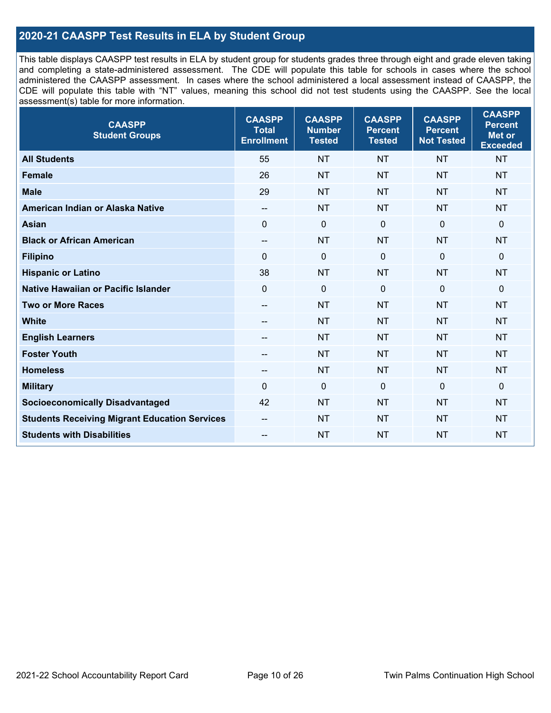### **2020-21 CAASPP Test Results in ELA by Student Group**

This table displays CAASPP test results in ELA by student group for students grades three through eight and grade eleven taking and completing a state-administered assessment. The CDE will populate this table for schools in cases where the school administered the CAASPP assessment. In cases where the school administered a local assessment instead of CAASPP, the CDE will populate this table with "NT" values, meaning this school did not test students using the CAASPP. See the local assessment(s) table for more information.

| <b>CAASPP</b><br><b>Student Groups</b>               | <b>CAASPP</b><br><b>Total</b><br><b>Enrollment</b> | <b>CAASPP</b><br><b>Number</b><br><b>Tested</b> | <b>CAASPP</b><br><b>Percent</b><br><b>Tested</b> | <b>CAASPP</b><br><b>Percent</b><br><b>Not Tested</b> | <b>CAASPP</b><br><b>Percent</b><br><b>Met or</b><br><b>Exceeded</b> |
|------------------------------------------------------|----------------------------------------------------|-------------------------------------------------|--------------------------------------------------|------------------------------------------------------|---------------------------------------------------------------------|
| <b>All Students</b>                                  | 55                                                 | <b>NT</b>                                       | <b>NT</b>                                        | <b>NT</b>                                            | <b>NT</b>                                                           |
| <b>Female</b>                                        | 26                                                 | <b>NT</b>                                       | <b>NT</b>                                        | <b>NT</b>                                            | <b>NT</b>                                                           |
| <b>Male</b>                                          | 29                                                 | <b>NT</b>                                       | <b>NT</b>                                        | <b>NT</b>                                            | <b>NT</b>                                                           |
| American Indian or Alaska Native                     | $\overline{\phantom{a}}$                           | <b>NT</b>                                       | <b>NT</b>                                        | <b>NT</b>                                            | <b>NT</b>                                                           |
| <b>Asian</b>                                         | $\mathbf{0}$                                       | $\boldsymbol{0}$                                | $\mathbf{0}$                                     | $\mathbf 0$                                          | 0                                                                   |
| <b>Black or African American</b>                     | $\overline{\phantom{a}}$                           | <b>NT</b>                                       | <b>NT</b>                                        | <b>NT</b>                                            | <b>NT</b>                                                           |
| <b>Filipino</b>                                      | $\Omega$                                           | $\mathbf 0$                                     | $\mathbf{0}$                                     | $\mathbf 0$                                          | 0                                                                   |
| <b>Hispanic or Latino</b>                            | 38                                                 | <b>NT</b>                                       | <b>NT</b>                                        | <b>NT</b>                                            | <b>NT</b>                                                           |
| Native Hawaiian or Pacific Islander                  | $\mathbf 0$                                        | $\mathbf 0$                                     | $\mathbf 0$                                      | $\overline{0}$                                       | 0                                                                   |
| <b>Two or More Races</b>                             | $\overline{\phantom{a}}$                           | <b>NT</b>                                       | <b>NT</b>                                        | <b>NT</b>                                            | <b>NT</b>                                                           |
| <b>White</b>                                         | --                                                 | <b>NT</b>                                       | <b>NT</b>                                        | <b>NT</b>                                            | <b>NT</b>                                                           |
| <b>English Learners</b>                              | $- -$                                              | <b>NT</b>                                       | <b>NT</b>                                        | <b>NT</b>                                            | <b>NT</b>                                                           |
| <b>Foster Youth</b>                                  | --                                                 | <b>NT</b>                                       | <b>NT</b>                                        | <b>NT</b>                                            | NT                                                                  |
| <b>Homeless</b>                                      | --                                                 | <b>NT</b>                                       | <b>NT</b>                                        | <b>NT</b>                                            | <b>NT</b>                                                           |
| <b>Military</b>                                      | 0                                                  | $\pmb{0}$                                       | $\mathbf 0$                                      | $\mathbf 0$                                          | 0                                                                   |
| <b>Socioeconomically Disadvantaged</b>               | 42                                                 | <b>NT</b>                                       | <b>NT</b>                                        | <b>NT</b>                                            | <b>NT</b>                                                           |
| <b>Students Receiving Migrant Education Services</b> |                                                    | <b>NT</b>                                       | <b>NT</b>                                        | <b>NT</b>                                            | <b>NT</b>                                                           |
| <b>Students with Disabilities</b>                    | $\qquad \qquad -$                                  | <b>NT</b>                                       | <b>NT</b>                                        | <b>NT</b>                                            | <b>NT</b>                                                           |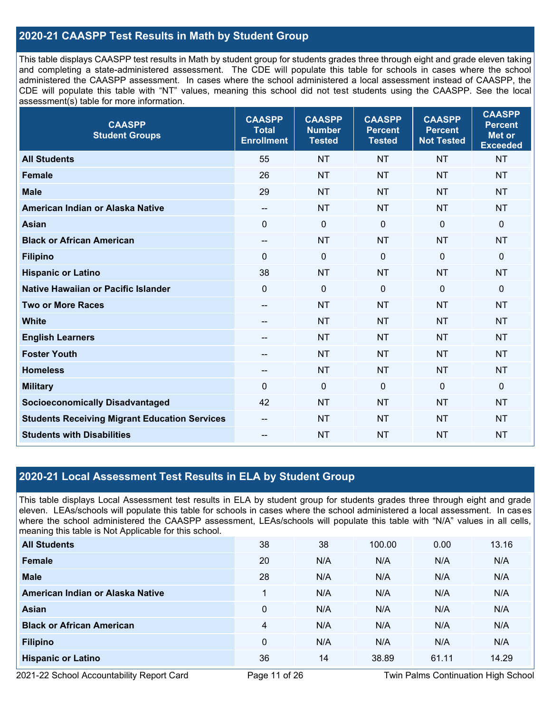### **2020-21 CAASPP Test Results in Math by Student Group**

This table displays CAASPP test results in Math by student group for students grades three through eight and grade eleven taking and completing a state-administered assessment. The CDE will populate this table for schools in cases where the school administered the CAASPP assessment. In cases where the school administered a local assessment instead of CAASPP, the CDE will populate this table with "NT" values, meaning this school did not test students using the CAASPP. See the local assessment(s) table for more information.

| <b>CAASPP</b><br><b>Student Groups</b>               | <b>CAASPP</b><br><b>Total</b><br><b>Enrollment</b> | <b>CAASPP</b><br><b>Number</b><br><b>Tested</b> | <b>CAASPP</b><br><b>Percent</b><br><b>Tested</b> | <b>CAASPP</b><br><b>Percent</b><br><b>Not Tested</b> | <b>CAASPP</b><br><b>Percent</b><br><b>Met or</b><br><b>Exceeded</b> |
|------------------------------------------------------|----------------------------------------------------|-------------------------------------------------|--------------------------------------------------|------------------------------------------------------|---------------------------------------------------------------------|
| <b>All Students</b>                                  | 55                                                 | <b>NT</b>                                       | <b>NT</b>                                        | <b>NT</b>                                            | <b>NT</b>                                                           |
| <b>Female</b>                                        | 26                                                 | <b>NT</b>                                       | <b>NT</b>                                        | <b>NT</b>                                            | <b>NT</b>                                                           |
| <b>Male</b>                                          | 29                                                 | <b>NT</b>                                       | <b>NT</b>                                        | <b>NT</b>                                            | <b>NT</b>                                                           |
| American Indian or Alaska Native                     | $\overline{\phantom{a}}$                           | <b>NT</b>                                       | <b>NT</b>                                        | <b>NT</b>                                            | <b>NT</b>                                                           |
| <b>Asian</b>                                         | $\mathbf 0$                                        | $\mathbf 0$                                     | $\mathbf 0$                                      | $\mathbf 0$                                          | 0                                                                   |
| <b>Black or African American</b>                     | $\overline{\phantom{a}}$                           | <b>NT</b>                                       | <b>NT</b>                                        | <b>NT</b>                                            | <b>NT</b>                                                           |
| <b>Filipino</b>                                      | $\Omega$                                           | $\mathbf 0$                                     | $\mathbf{0}$                                     | $\mathbf 0$                                          | 0                                                                   |
| <b>Hispanic or Latino</b>                            | 38                                                 | <b>NT</b>                                       | <b>NT</b>                                        | <b>NT</b>                                            | <b>NT</b>                                                           |
| Native Hawaiian or Pacific Islander                  | $\mathbf 0$                                        | $\mathbf 0$                                     | $\mathbf 0$                                      | $\mathbf 0$                                          | 0                                                                   |
| <b>Two or More Races</b>                             | $\overline{\phantom{a}}$                           | <b>NT</b>                                       | <b>NT</b>                                        | <b>NT</b>                                            | <b>NT</b>                                                           |
| <b>White</b>                                         | --                                                 | <b>NT</b>                                       | <b>NT</b>                                        | <b>NT</b>                                            | <b>NT</b>                                                           |
| <b>English Learners</b>                              | $\qquad \qquad -$                                  | <b>NT</b>                                       | <b>NT</b>                                        | <b>NT</b>                                            | <b>NT</b>                                                           |
| <b>Foster Youth</b>                                  | $\overline{\phantom{a}}$                           | <b>NT</b>                                       | <b>NT</b>                                        | <b>NT</b>                                            | <b>NT</b>                                                           |
| <b>Homeless</b>                                      | $\overline{\phantom{a}}$                           | <b>NT</b>                                       | <b>NT</b>                                        | <b>NT</b>                                            | <b>NT</b>                                                           |
| <b>Military</b>                                      | $\Omega$                                           | $\pmb{0}$                                       | $\mathbf 0$                                      | $\mathbf 0$                                          | 0                                                                   |
| <b>Socioeconomically Disadvantaged</b>               | 42                                                 | <b>NT</b>                                       | <b>NT</b>                                        | <b>NT</b>                                            | <b>NT</b>                                                           |
| <b>Students Receiving Migrant Education Services</b> | $-$                                                | <b>NT</b>                                       | <b>NT</b>                                        | <b>NT</b>                                            | NT                                                                  |
| <b>Students with Disabilities</b>                    | --                                                 | <b>NT</b>                                       | <b>NT</b>                                        | <b>NT</b>                                            | <b>NT</b>                                                           |

### **2020-21 Local Assessment Test Results in ELA by Student Group**

This table displays Local Assessment test results in ELA by student group for students grades three through eight and grade eleven. LEAs/schools will populate this table for schools in cases where the school administered a local assessment. In cases where the school administered the CAASPP assessment, LEAs/schools will populate this table with "N/A" values in all cells, meaning this table is Not Applicable for this school.

| <b>All Students</b>              | 38 | 38  | 100.00 | 0.00  | 13.16 |
|----------------------------------|----|-----|--------|-------|-------|
| <b>Female</b>                    | 20 | N/A | N/A    | N/A   | N/A   |
| <b>Male</b>                      | 28 | N/A | N/A    | N/A   | N/A   |
| American Indian or Alaska Native | 1  | N/A | N/A    | N/A   | N/A   |
| <b>Asian</b>                     | 0  | N/A | N/A    | N/A   | N/A   |
| <b>Black or African American</b> | 4  | N/A | N/A    | N/A   | N/A   |
| <b>Filipino</b>                  | 0  | N/A | N/A    | N/A   | N/A   |
| <b>Hispanic or Latino</b>        | 36 | 14  | 38.89  | 61.11 | 14.29 |

2021-22 School Accountability Report Card Page 11 of 26 Twin Palms Continuation High School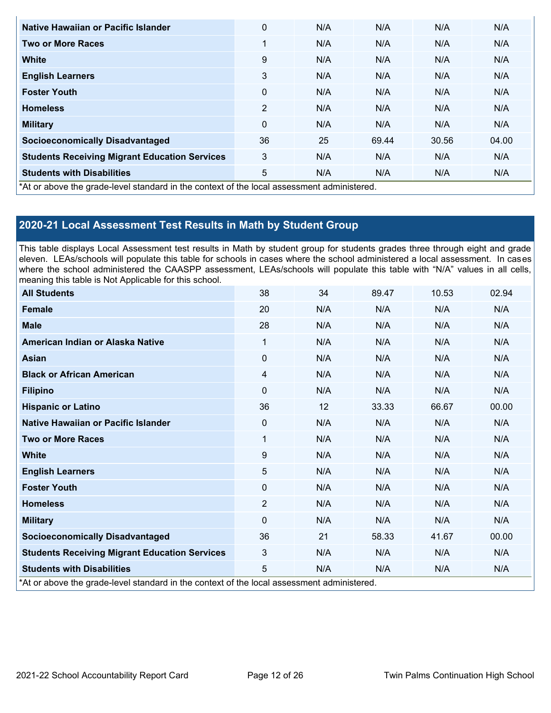| Native Hawaiian or Pacific Islander                                                        | 0            | N/A | N/A   | N/A   | N/A   |
|--------------------------------------------------------------------------------------------|--------------|-----|-------|-------|-------|
| <b>Two or More Races</b>                                                                   | 1            | N/A | N/A   | N/A   | N/A   |
| <b>White</b>                                                                               | 9            | N/A | N/A   | N/A   | N/A   |
| <b>English Learners</b>                                                                    | 3            | N/A | N/A   | N/A   | N/A   |
| <b>Foster Youth</b>                                                                        | 0            | N/A | N/A   | N/A   | N/A   |
| <b>Homeless</b>                                                                            | 2            | N/A | N/A   | N/A   | N/A   |
| <b>Military</b>                                                                            | $\mathbf{0}$ | N/A | N/A   | N/A   | N/A   |
| <b>Socioeconomically Disadvantaged</b>                                                     | 36           | 25  | 69.44 | 30.56 | 04.00 |
| <b>Students Receiving Migrant Education Services</b>                                       | 3            | N/A | N/A   | N/A   | N/A   |
| <b>Students with Disabilities</b>                                                          | 5            | N/A | N/A   | N/A   | N/A   |
| *At or above the grade-level standard in the context of the local assessment administered. |              |     |       |       |       |

# **2020-21 Local Assessment Test Results in Math by Student Group**

This table displays Local Assessment test results in Math by student group for students grades three through eight and grade eleven. LEAs/schools will populate this table for schools in cases where the school administered a local assessment. In cases where the school administered the CAASPP assessment, LEAs/schools will populate this table with "N/A" values in all cells, meaning this table is Not Applicable for this school.

| <b>All Students</b>                                                                        | 38             | 34  | 89.47 | 10.53 | 02.94 |
|--------------------------------------------------------------------------------------------|----------------|-----|-------|-------|-------|
| <b>Female</b>                                                                              | 20             | N/A | N/A   | N/A   | N/A   |
| <b>Male</b>                                                                                | 28             | N/A | N/A   | N/A   | N/A   |
| American Indian or Alaska Native                                                           | 1              | N/A | N/A   | N/A   | N/A   |
| <b>Asian</b>                                                                               | 0              | N/A | N/A   | N/A   | N/A   |
| <b>Black or African American</b>                                                           | 4              | N/A | N/A   | N/A   | N/A   |
| <b>Filipino</b>                                                                            | $\Omega$       | N/A | N/A   | N/A   | N/A   |
| <b>Hispanic or Latino</b>                                                                  | 36             | 12  | 33.33 | 66.67 | 00.00 |
| Native Hawaiian or Pacific Islander                                                        | $\Omega$       | N/A | N/A   | N/A   | N/A   |
| <b>Two or More Races</b>                                                                   | 1              | N/A | N/A   | N/A   | N/A   |
| <b>White</b>                                                                               | 9              | N/A | N/A   | N/A   | N/A   |
| <b>English Learners</b>                                                                    | 5              | N/A | N/A   | N/A   | N/A   |
| <b>Foster Youth</b>                                                                        | $\Omega$       | N/A | N/A   | N/A   | N/A   |
| <b>Homeless</b>                                                                            | $\overline{2}$ | N/A | N/A   | N/A   | N/A   |
| <b>Military</b>                                                                            | $\Omega$       | N/A | N/A   | N/A   | N/A   |
| <b>Socioeconomically Disadvantaged</b>                                                     | 36             | 21  | 58.33 | 41.67 | 00.00 |
| <b>Students Receiving Migrant Education Services</b>                                       | 3              | N/A | N/A   | N/A   | N/A   |
| <b>Students with Disabilities</b>                                                          | 5              | N/A | N/A   | N/A   | N/A   |
| *At or above the grade-level standard in the context of the local assessment administered. |                |     |       |       |       |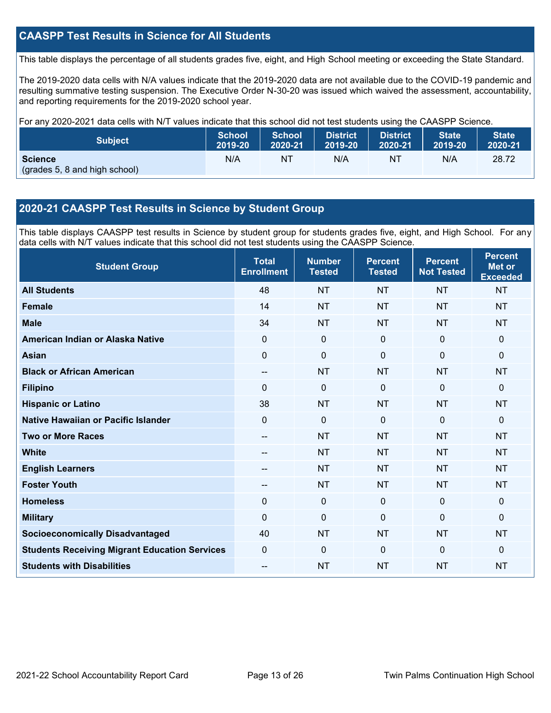### **CAASPP Test Results in Science for All Students**

This table displays the percentage of all students grades five, eight, and High School meeting or exceeding the State Standard.

The 2019-2020 data cells with N/A values indicate that the 2019-2020 data are not available due to the COVID-19 pandemic and resulting summative testing suspension. The Executive Order N-30-20 was issued which waived the assessment, accountability, and reporting requirements for the 2019-2020 school year.

For any 2020-2021 data cells with N/T values indicate that this school did not test students using the CAASPP Science.

| <b>Subject</b>                                  | <b>School</b> | <b>School</b> | <b>District</b> | District. | <b>State</b> | <b>State</b> |
|-------------------------------------------------|---------------|---------------|-----------------|-----------|--------------|--------------|
|                                                 | 2019-20       | 2020-21       | 2019-20         | 2020-21   | 2019-20      | 2020-21      |
| <b>Science</b><br>(grades 5, 8 and high school) | N/A           | NT            | N/A             | NT        | N/A          | 28.72        |

### **2020-21 CAASPP Test Results in Science by Student Group**

This table displays CAASPP test results in Science by student group for students grades five, eight, and High School. For any data cells with N/T values indicate that this school did not test students using the CAASPP Science.

| <b>Student Group</b>                                 | <b>Total</b><br><b>Enrollment</b> | <b>Number</b><br><b>Tested</b> | <b>Percent</b><br><b>Tested</b> | <b>Percent</b><br><b>Not Tested</b> | <b>Percent</b><br><b>Met or</b><br><b>Exceeded</b> |
|------------------------------------------------------|-----------------------------------|--------------------------------|---------------------------------|-------------------------------------|----------------------------------------------------|
| <b>All Students</b>                                  | 48                                | <b>NT</b>                      | <b>NT</b>                       | <b>NT</b>                           | <b>NT</b>                                          |
| <b>Female</b>                                        | 14                                | <b>NT</b>                      | <b>NT</b>                       | <b>NT</b>                           | <b>NT</b>                                          |
| <b>Male</b>                                          | 34                                | <b>NT</b>                      | <b>NT</b>                       | <b>NT</b>                           | <b>NT</b>                                          |
| American Indian or Alaska Native                     | $\Omega$                          | 0                              | $\mathbf 0$                     | $\mathbf 0$                         | $\mathbf{0}$                                       |
| <b>Asian</b>                                         | 0                                 | $\pmb{0}$                      | $\mathbf 0$                     | $\mathbf 0$                         | $\mathbf 0$                                        |
| <b>Black or African American</b>                     | --                                | <b>NT</b>                      | <b>NT</b>                       | <b>NT</b>                           | <b>NT</b>                                          |
| <b>Filipino</b>                                      | $\Omega$                          | 0                              | $\mathbf{0}$                    | $\mathbf{0}$                        | $\mathbf{0}$                                       |
| <b>Hispanic or Latino</b>                            | 38                                | <b>NT</b>                      | <b>NT</b>                       | <b>NT</b>                           | <b>NT</b>                                          |
| Native Hawaiian or Pacific Islander                  | $\overline{0}$                    | $\mathbf 0$                    | $\mathbf 0$                     | $\overline{0}$                      | $\mathbf 0$                                        |
| <b>Two or More Races</b>                             | --                                | <b>NT</b>                      | <b>NT</b>                       | <b>NT</b>                           | <b>NT</b>                                          |
| <b>White</b>                                         | --                                | <b>NT</b>                      | <b>NT</b>                       | <b>NT</b>                           | <b>NT</b>                                          |
| <b>English Learners</b>                              | --                                | <b>NT</b>                      | <b>NT</b>                       | <b>NT</b>                           | <b>NT</b>                                          |
| <b>Foster Youth</b>                                  | --                                | <b>NT</b>                      | <b>NT</b>                       | <b>NT</b>                           | <b>NT</b>                                          |
| <b>Homeless</b>                                      | 0                                 | $\mathbf 0$                    | $\mathbf 0$                     | $\Omega$                            | $\mathbf 0$                                        |
| <b>Military</b>                                      | $\Omega$                          | 0                              | $\mathbf{0}$                    | $\Omega$                            | $\mathbf{0}$                                       |
| <b>Socioeconomically Disadvantaged</b>               | 40                                | <b>NT</b>                      | <b>NT</b>                       | <b>NT</b>                           | <b>NT</b>                                          |
| <b>Students Receiving Migrant Education Services</b> | 0                                 | $\Omega$                       | $\Omega$                        | $\Omega$                            | $\mathbf{0}$                                       |
| <b>Students with Disabilities</b>                    | --                                | <b>NT</b>                      | <b>NT</b>                       | <b>NT</b>                           | <b>NT</b>                                          |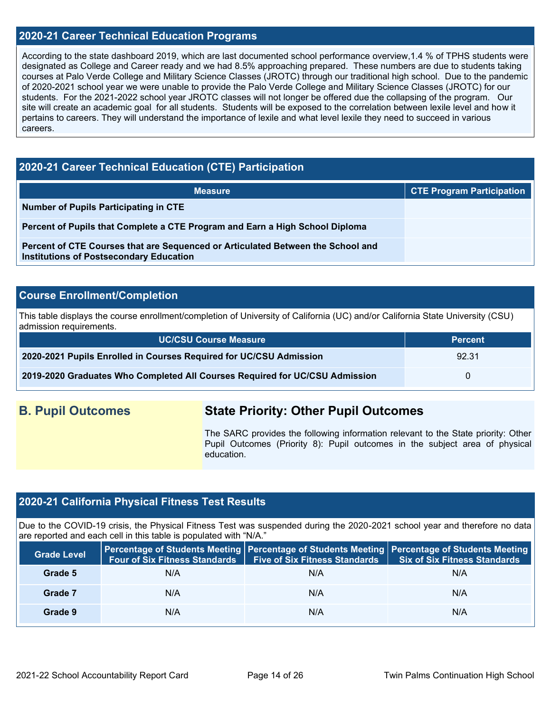### **2020-21 Career Technical Education Programs**

According to the state dashboard 2019, which are last documented school performance overview,1.4 % of TPHS students were designated as College and Career ready and we had 8.5% approaching prepared. These numbers are due to students taking courses at Palo Verde College and Military Science Classes (JROTC) through our traditional high school. Due to the pandemic of 2020-2021 school year we were unable to provide the Palo Verde College and Military Science Classes (JROTC) for our students. For the 2021-2022 school year JROTC classes will not longer be offered due the collapsing of the program. Our site will create an academic goal for all students. Students will be exposed to the correlation between lexile level and how it pertains to careers. They will understand the importance of lexile and what level lexile they need to succeed in various careers.

### **2020-21 Career Technical Education (CTE) Participation**

| <b>Measure</b>                                                                                                                    | <b>CTE Program Participation</b> |
|-----------------------------------------------------------------------------------------------------------------------------------|----------------------------------|
| Number of Pupils Participating in CTE                                                                                             |                                  |
| Percent of Pupils that Complete a CTE Program and Earn a High School Diploma                                                      |                                  |
| Percent of CTE Courses that are Sequenced or Articulated Between the School and<br><b>Institutions of Postsecondary Education</b> |                                  |

### **Course Enrollment/Completion**

This table displays the course enrollment/completion of University of California (UC) and/or California State University (CSU) admission requirements.

| <b>UC/CSU Course Measure</b>                                                | <b>Percent</b> |
|-----------------------------------------------------------------------------|----------------|
| 2020-2021 Pupils Enrolled in Courses Required for UC/CSU Admission          | 92.31          |
| 2019-2020 Graduates Who Completed All Courses Required for UC/CSU Admission | $\mathbf{U}$   |

# **B. Pupil Outcomes State Priority: Other Pupil Outcomes**

The SARC provides the following information relevant to the State priority: Other Pupil Outcomes (Priority 8): Pupil outcomes in the subject area of physical education.

### **2020-21 California Physical Fitness Test Results**

Due to the COVID-19 crisis, the Physical Fitness Test was suspended during the 2020-2021 school year and therefore no data are reported and each cell in this table is populated with "N/A."

| <b>Grade Level</b> | Four of Six Fitness Standards   Five of Six Fitness Standards |     | Percentage of Students Meeting Percentage of Students Meeting Percentage of Students Meeting<br><b>Six of Six Fitness Standards</b> |
|--------------------|---------------------------------------------------------------|-----|-------------------------------------------------------------------------------------------------------------------------------------|
| Grade 5            | N/A                                                           | N/A | N/A                                                                                                                                 |
| Grade 7            | N/A                                                           | N/A | N/A                                                                                                                                 |
| Grade 9            | N/A                                                           | N/A | N/A                                                                                                                                 |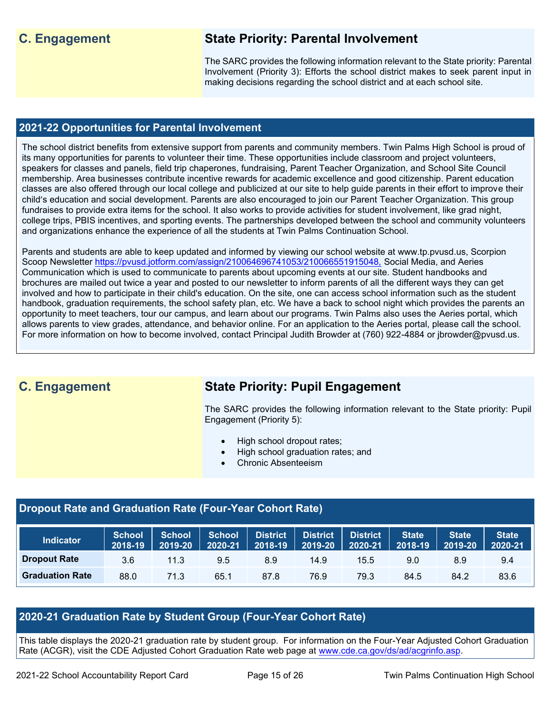# **C. Engagement State Priority: Parental Involvement**

The SARC provides the following information relevant to the State priority: Parental Involvement (Priority 3): Efforts the school district makes to seek parent input in making decisions regarding the school district and at each school site.

### **2021-22 Opportunities for Parental Involvement**

The school district benefits from extensive support from parents and community members. Twin Palms High School is proud of its many opportunities for parents to volunteer their time. These opportunities include classroom and project volunteers, speakers for classes and panels, field trip chaperones, fundraising, Parent Teacher Organization, and School Site Council membership. Area businesses contribute incentive rewards for academic excellence and good citizenship. Parent education classes are also offered through our local college and publicized at our site to help guide parents in their effort to improve their child's education and social development. Parents are also encouraged to join our Parent Teacher Organization. This group fundraises to provide extra items for the school. It also works to provide activities for student involvement, like grad night, college trips, PBIS incentives, and sporting events. The partnerships developed between the school and community volunteers and organizations enhance the experience of all the students at Twin Palms Continuation School.

Parents and students are able to keep updated and informed by viewing our school website at www.tp.pvusd.us, Scorpion Scoop Newsletter<https://pvusd.jotform.com/assign/210064696741053/210066551915048,> Social Media, and Aeries Communication which is used to communicate to parents about upcoming events at our site. Student handbooks and brochures are mailed out twice a year and posted to our newsletter to inform parents of all the different ways they can get involved and how to participate in their child's education. On the site, one can access school information such as the student handbook, graduation requirements, the school safety plan, etc. We have a back to school night which provides the parents an opportunity to meet teachers, tour our campus, and learn about our programs. Twin Palms also uses the Aeries portal, which allows parents to view grades, attendance, and behavior online. For an application to the Aeries portal, please call the school. For more information on how to become involved, contact Principal Judith Browder at (760) 922-4884 or jbrowder@pvusd.us.

# **C. Engagement State Priority: Pupil Engagement**

The SARC provides the following information relevant to the State priority: Pupil Engagement (Priority 5):

- High school dropout rates;
- High school graduation rates; and
- Chronic Absenteeism

### **Dropout Rate and Graduation Rate (Four-Year Cohort Rate)**

| <b>Indicator</b>       | <b>School</b><br>2018-19 | <b>School</b><br>2019-20 | School District<br>2020-21 | $ 2018-19 $ | <b>District</b><br>2019-20 | District<br>2020-21 | <b>State</b><br>$'$ 2018-19 | <b>State</b><br>$2019 - 20$ | <b>State</b><br>2020-21 |
|------------------------|--------------------------|--------------------------|----------------------------|-------------|----------------------------|---------------------|-----------------------------|-----------------------------|-------------------------|
| <b>Dropout Rate</b>    | 3.6                      | 11.3                     | 9.5                        | 8.9         | 14.9                       | 15.5                | 9.0                         | 8.9                         | 9.4                     |
| <b>Graduation Rate</b> | 88.0                     | 71.3                     | 65.1                       | 87.8        | 76.9                       | 79.3                | 84.5                        | 84.2                        | 83.6                    |

## **2020-21 Graduation Rate by Student Group (Four-Year Cohort Rate)**

This table displays the 2020-21 graduation rate by student group. For information on the Four-Year Adjusted Cohort Graduation Rate (ACGR), visit the CDE Adjusted Cohort Graduation Rate web page at [www.cde.ca.gov/ds/ad/acgrinfo.asp.](http://www.cde.ca.gov/ds/ad/acgrinfo.asp)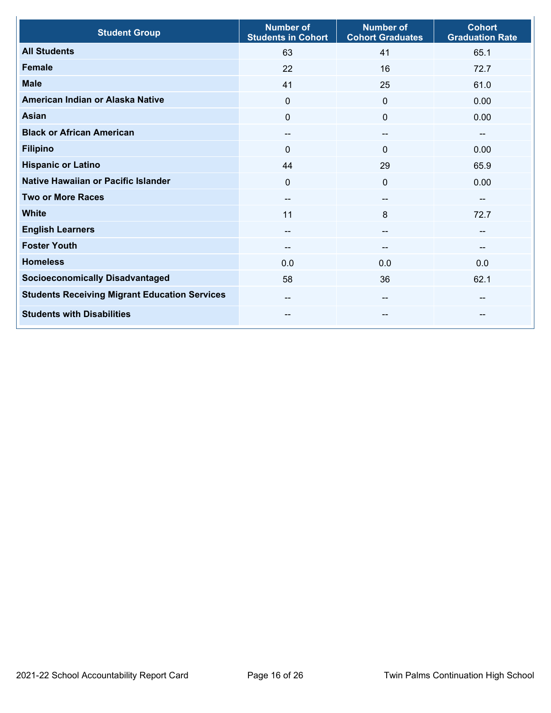| <b>Student Group</b>                                 | <b>Number of</b><br><b>Students in Cohort</b> | <b>Number of</b><br><b>Cohort Graduates</b> | <b>Cohort</b><br><b>Graduation Rate</b> |
|------------------------------------------------------|-----------------------------------------------|---------------------------------------------|-----------------------------------------|
| <b>All Students</b>                                  | 63                                            | 41                                          | 65.1                                    |
| <b>Female</b>                                        | 22                                            | 16                                          | 72.7                                    |
| <b>Male</b>                                          | 41                                            | 25                                          | 61.0                                    |
| American Indian or Alaska Native                     | $\mathbf 0$                                   | $\mathbf{0}$                                | 0.00                                    |
| <b>Asian</b>                                         | $\mathbf{0}$                                  | $\Omega$                                    | 0.00                                    |
| <b>Black or African American</b>                     | --                                            | --                                          | $-$                                     |
| <b>Filipino</b>                                      | 0                                             | $\mathbf{0}$                                | 0.00                                    |
| <b>Hispanic or Latino</b>                            | 44                                            | 29                                          | 65.9                                    |
| Native Hawaiian or Pacific Islander                  | $\mathbf 0$                                   | 0                                           | 0.00                                    |
| <b>Two or More Races</b>                             | --                                            | --                                          | --                                      |
| <b>White</b>                                         | 11                                            | 8                                           | 72.7                                    |
| <b>English Learners</b>                              | --                                            | --                                          | --                                      |
| <b>Foster Youth</b>                                  |                                               | --                                          | $\overline{\phantom{a}}$                |
| <b>Homeless</b>                                      | 0.0                                           | 0.0                                         | 0.0                                     |
| <b>Socioeconomically Disadvantaged</b>               | 58                                            | 36                                          | 62.1                                    |
| <b>Students Receiving Migrant Education Services</b> | --                                            | $- -$                                       | --                                      |
| <b>Students with Disabilities</b>                    | --                                            |                                             | --                                      |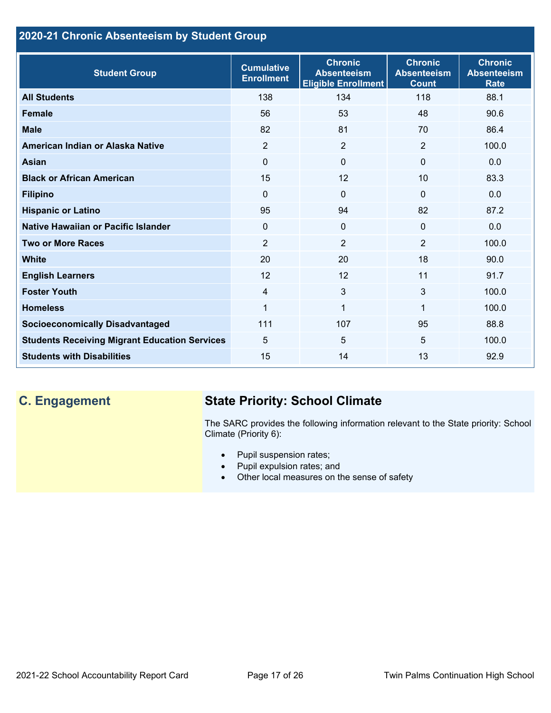# **2020-21 Chronic Absenteeism by Student Group**

| <b>Student Group</b>                                 | <b>Cumulative</b><br><b>Enrollment</b> | <b>Chronic</b><br><b>Absenteeism</b><br><b>Eligible Enrollment</b> | <b>Chronic</b><br><b>Absenteeism</b><br><b>Count</b> | <b>Chronic</b><br><b>Absenteeism</b><br><b>Rate</b> |
|------------------------------------------------------|----------------------------------------|--------------------------------------------------------------------|------------------------------------------------------|-----------------------------------------------------|
| <b>All Students</b>                                  | 138                                    | 134                                                                | 118                                                  | 88.1                                                |
| <b>Female</b>                                        | 56                                     | 53                                                                 | 48                                                   | 90.6                                                |
| <b>Male</b>                                          | 82                                     | 81                                                                 | 70                                                   | 86.4                                                |
| American Indian or Alaska Native                     | $\overline{2}$                         | $\overline{2}$                                                     | 2                                                    | 100.0                                               |
| <b>Asian</b>                                         | $\mathbf{0}$                           | $\overline{0}$                                                     | $\mathbf{0}$                                         | 0.0                                                 |
| <b>Black or African American</b>                     | 15                                     | 12                                                                 | 10                                                   | 83.3                                                |
| <b>Filipino</b>                                      | $\mathbf{0}$                           | $\mathbf{0}$                                                       | $\mathbf{0}$                                         | 0.0                                                 |
| <b>Hispanic or Latino</b>                            | 95                                     | 94                                                                 | 82                                                   | 87.2                                                |
| Native Hawaiian or Pacific Islander                  | $\mathbf 0$                            | $\overline{0}$                                                     | $\mathbf 0$                                          | 0.0                                                 |
| <b>Two or More Races</b>                             | $\overline{2}$                         | $\overline{2}$                                                     | 2                                                    | 100.0                                               |
| <b>White</b>                                         | 20                                     | 20                                                                 | 18                                                   | 90.0                                                |
| <b>English Learners</b>                              | 12                                     | 12                                                                 | 11                                                   | 91.7                                                |
| <b>Foster Youth</b>                                  | $\overline{4}$                         | 3                                                                  | 3                                                    | 100.0                                               |
| <b>Homeless</b>                                      | 1                                      | $\mathbf{1}$                                                       | $\mathbf{1}$                                         | 100.0                                               |
| <b>Socioeconomically Disadvantaged</b>               | 111                                    | 107                                                                | 95                                                   | 88.8                                                |
| <b>Students Receiving Migrant Education Services</b> | 5                                      | 5                                                                  | 5                                                    | 100.0                                               |
| <b>Students with Disabilities</b>                    | 15                                     | 14                                                                 | 13                                                   | 92.9                                                |

# **C. Engagement State Priority: School Climate**

The SARC provides the following information relevant to the State priority: School Climate (Priority 6):

- Pupil suspension rates;
- Pupil expulsion rates; and
- Other local measures on the sense of safety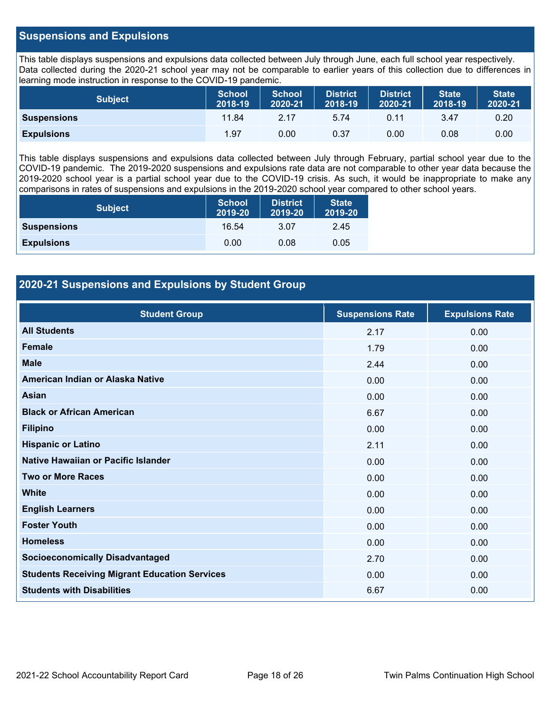### **Suspensions and Expulsions**

This table displays suspensions and expulsions data collected between July through June, each full school year respectively. Data collected during the 2020-21 school year may not be comparable to earlier years of this collection due to differences in learning mode instruction in response to the COVID-19 pandemic.

| <b>Subject</b>     | <b>School</b><br>2018-19 | <b>School</b><br>2020-21 | <b>District</b><br>2018-19 | <b>District</b><br>2020-21 | <b>State</b><br>2018-19 | <b>State</b><br>2020-21 |
|--------------------|--------------------------|--------------------------|----------------------------|----------------------------|-------------------------|-------------------------|
| <b>Suspensions</b> | 11.84                    | 2.17                     | 5.74                       | 0.11                       | 3.47                    | 0.20                    |
| <b>Expulsions</b>  | 1.97                     | 0.00                     | 0.37                       | 0.00                       | 0.08                    | 0.00                    |

This table displays suspensions and expulsions data collected between July through February, partial school year due to the COVID-19 pandemic. The 2019-2020 suspensions and expulsions rate data are not comparable to other year data because the 2019-2020 school year is a partial school year due to the COVID-19 crisis. As such, it would be inappropriate to make any comparisons in rates of suspensions and expulsions in the 2019-2020 school year compared to other school years.

| <b>Subject</b>     | <b>School</b><br>2019-20 | <b>District</b><br>2019-20 | <b>State</b><br>2019-20 |
|--------------------|--------------------------|----------------------------|-------------------------|
| <b>Suspensions</b> | 16.54                    | 3.07                       | 2.45                    |
| <b>Expulsions</b>  | 0.00                     | 0.08                       | 0.05                    |

### **2020-21 Suspensions and Expulsions by Student Group**

| <b>Student Group</b>                                 | <b>Suspensions Rate</b> | <b>Expulsions Rate</b> |
|------------------------------------------------------|-------------------------|------------------------|
| <b>All Students</b>                                  | 2.17                    | 0.00                   |
| <b>Female</b>                                        | 1.79                    | 0.00                   |
| <b>Male</b>                                          | 2.44                    | 0.00                   |
| American Indian or Alaska Native                     | 0.00                    | 0.00                   |
| Asian                                                | 0.00                    | 0.00                   |
| <b>Black or African American</b>                     | 6.67                    | 0.00                   |
| <b>Filipino</b>                                      | 0.00                    | 0.00                   |
| <b>Hispanic or Latino</b>                            | 2.11                    | 0.00                   |
| Native Hawaiian or Pacific Islander                  | 0.00                    | 0.00                   |
| <b>Two or More Races</b>                             | 0.00                    | 0.00                   |
| <b>White</b>                                         | 0.00                    | 0.00                   |
| <b>English Learners</b>                              | 0.00                    | 0.00                   |
| <b>Foster Youth</b>                                  | 0.00                    | 0.00                   |
| <b>Homeless</b>                                      | 0.00                    | 0.00                   |
| <b>Socioeconomically Disadvantaged</b>               | 2.70                    | 0.00                   |
| <b>Students Receiving Migrant Education Services</b> | 0.00                    | 0.00                   |
| <b>Students with Disabilities</b>                    | 6.67                    | 0.00                   |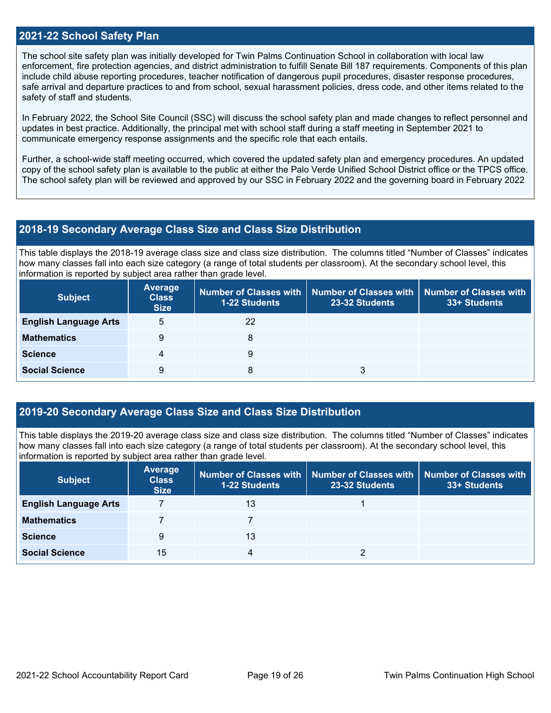### **2021-22 School Safety Plan**

The school site safety plan was initially developed for Twin Palms Continuation School in collaboration with local law enforcement, fire protection agencies, and district administration to fulfill Senate Bill 187 requirements. Components of this plan include child abuse reporting procedures, teacher notification of dangerous pupil procedures, disaster response procedures, safe arrival and departure practices to and from school, sexual harassment policies, dress code, and other items related to the safety of staff and students.

In February 2022, the School Site Council (SSC) will discuss the school safety plan and made changes to reflect personnel and updates in best practice. Additionally, the principal met with school staff during a staff meeting in September 2021 to communicate emergency response assignments and the specific role that each entails.

Further, a school-wide staff meeting occurred, which covered the updated safety plan and emergency procedures. An updated copy of the school safety plan is available to the public at either the Palo Verde Unified School District office or the TPCS office. The school safety plan will be reviewed and approved by our SSC in February 2022 and the governing board in February 2022

### **2018-19 Secondary Average Class Size and Class Size Distribution**

This table displays the 2018-19 average class size and class size distribution. The columns titled "Number of Classes" indicates how many classes fall into each size category (a range of total students per classroom). At the secondary school level, this information is reported by subject area rather than grade level.

| <b>Subject</b>               | <b>Average</b><br><b>Class</b><br><b>Size</b> | Number of Classes with   Number of Classes with<br><b>1-22 Students</b> | 23-32 Students | Number of Classes with<br>33+ Students |
|------------------------------|-----------------------------------------------|-------------------------------------------------------------------------|----------------|----------------------------------------|
| <b>English Language Arts</b> | 5                                             | 22                                                                      |                |                                        |
| <b>Mathematics</b>           | 9                                             | 8                                                                       |                |                                        |
| <b>Science</b>               | 4                                             | 9                                                                       |                |                                        |
| <b>Social Science</b>        | 9                                             | 8                                                                       | 3              |                                        |

### **2019-20 Secondary Average Class Size and Class Size Distribution**

This table displays the 2019-20 average class size and class size distribution. The columns titled "Number of Classes" indicates how many classes fall into each size category (a range of total students per classroom). At the secondary school level, this information is reported by subject area rather than grade level.

| <b>Subject</b>               | <b>Average</b><br><b>Class</b><br><b>Size</b> | <b>1-22 Students</b> | Number of Classes with   Number of Classes with<br>23-32 Students | Number of Classes with<br>33+ Students |
|------------------------------|-----------------------------------------------|----------------------|-------------------------------------------------------------------|----------------------------------------|
| <b>English Language Arts</b> |                                               | 13                   |                                                                   |                                        |
| <b>Mathematics</b>           |                                               |                      |                                                                   |                                        |
| <b>Science</b>               | 9                                             | 13                   |                                                                   |                                        |
| <b>Social Science</b>        | 15                                            | 4                    |                                                                   |                                        |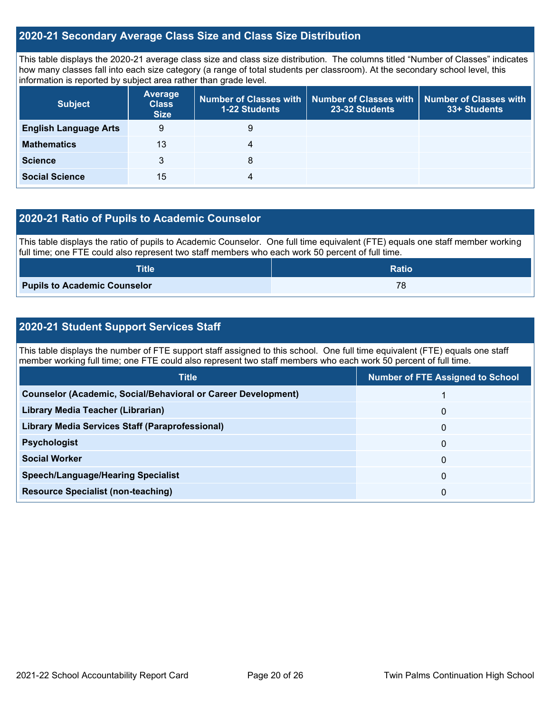### **2020-21 Secondary Average Class Size and Class Size Distribution**

This table displays the 2020-21 average class size and class size distribution. The columns titled "Number of Classes" indicates how many classes fall into each size category (a range of total students per classroom). At the secondary school level, this information is reported by subject area rather than grade level.

| <b>Subject</b>               | <b>Average</b><br><b>Class</b><br><b>Size</b> | 1-22 Students | Number of Classes with Number of Classes with<br>23-32 Students | Number of Classes with<br>33+ Students |
|------------------------------|-----------------------------------------------|---------------|-----------------------------------------------------------------|----------------------------------------|
| <b>English Language Arts</b> | 9                                             | 9             |                                                                 |                                        |
| <b>Mathematics</b>           | 13                                            | 4             |                                                                 |                                        |
| <b>Science</b>               | 3                                             | 8             |                                                                 |                                        |
| <b>Social Science</b>        | 15                                            | 4             |                                                                 |                                        |

### **2020-21 Ratio of Pupils to Academic Counselor**

This table displays the ratio of pupils to Academic Counselor. One full time equivalent (FTE) equals one staff member working full time; one FTE could also represent two staff members who each work 50 percent of full time.

| <b>Title</b>                        | <b>Ratio</b>         |
|-------------------------------------|----------------------|
| <b>Pupils to Academic Counselor</b> | 70<br>$\overline{O}$ |

### **2020-21 Student Support Services Staff**

This table displays the number of FTE support staff assigned to this school. One full time equivalent (FTE) equals one staff member working full time; one FTE could also represent two staff members who each work 50 percent of full time.

| <b>Title</b>                                                         | <b>Number of FTE Assigned to School</b> |
|----------------------------------------------------------------------|-----------------------------------------|
| <b>Counselor (Academic, Social/Behavioral or Career Development)</b> |                                         |
| Library Media Teacher (Librarian)                                    | 0                                       |
| <b>Library Media Services Staff (Paraprofessional)</b>               | 0                                       |
| <b>Psychologist</b>                                                  | 0                                       |
| <b>Social Worker</b>                                                 | 0                                       |
| <b>Speech/Language/Hearing Specialist</b>                            | 0                                       |
| <b>Resource Specialist (non-teaching)</b>                            | 0                                       |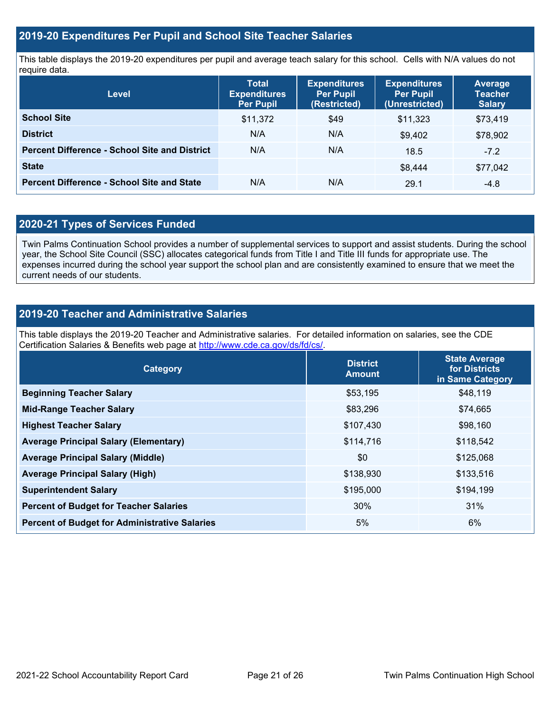### **2019-20 Expenditures Per Pupil and School Site Teacher Salaries**

This table displays the 2019-20 expenditures per pupil and average teach salary for this school. Cells with N/A values do not require data.

| <b>Level</b>                                         | <b>Total</b><br><b>Expenditures</b><br><b>Per Pupil</b> | <b>Expenditures</b><br><b>Per Pupil</b><br>(Restricted) | <b>Expenditures</b><br><b>Per Pupil</b><br>(Unrestricted) | Average<br><b>Teacher</b><br><b>Salary</b> |
|------------------------------------------------------|---------------------------------------------------------|---------------------------------------------------------|-----------------------------------------------------------|--------------------------------------------|
| <b>School Site</b>                                   | \$11,372                                                | \$49                                                    | \$11,323                                                  | \$73,419                                   |
| <b>District</b>                                      | N/A                                                     | N/A                                                     | \$9,402                                                   | \$78,902                                   |
| <b>Percent Difference - School Site and District</b> | N/A                                                     | N/A                                                     | 18.5                                                      | $-7.2$                                     |
| <b>State</b>                                         |                                                         |                                                         | \$8,444                                                   | \$77,042                                   |
| <b>Percent Difference - School Site and State</b>    | N/A                                                     | N/A                                                     | 29.1                                                      | $-4.8$                                     |

### **2020-21 Types of Services Funded**

Twin Palms Continuation School provides a number of supplemental services to support and assist students. During the school year, the School Site Council (SSC) allocates categorical funds from Title I and Title III funds for appropriate use. The expenses incurred during the school year support the school plan and are consistently examined to ensure that we meet the current needs of our students.

### **2019-20 Teacher and Administrative Salaries**

This table displays the 2019-20 Teacher and Administrative salaries. For detailed information on salaries, see the CDE Certification Salaries & Benefits web page at [http://www.cde.ca.gov/ds/fd/cs/.](http://www.cde.ca.gov/ds/fd/cs/)

| Category                                             | <b>District</b><br><b>Amount</b> | <b>State Average</b><br>for Districts<br>in Same Category |
|------------------------------------------------------|----------------------------------|-----------------------------------------------------------|
| <b>Beginning Teacher Salary</b>                      | \$53,195                         | \$48,119                                                  |
| <b>Mid-Range Teacher Salary</b>                      | \$83,296                         | \$74,665                                                  |
| <b>Highest Teacher Salary</b>                        | \$107,430                        | \$98,160                                                  |
| <b>Average Principal Salary (Elementary)</b>         | \$114,716                        | \$118,542                                                 |
| <b>Average Principal Salary (Middle)</b>             | \$0                              | \$125,068                                                 |
| <b>Average Principal Salary (High)</b>               | \$138,930                        | \$133,516                                                 |
| <b>Superintendent Salary</b>                         | \$195,000                        | \$194,199                                                 |
| <b>Percent of Budget for Teacher Salaries</b>        | 30%                              | 31%                                                       |
| <b>Percent of Budget for Administrative Salaries</b> | 5%                               | 6%                                                        |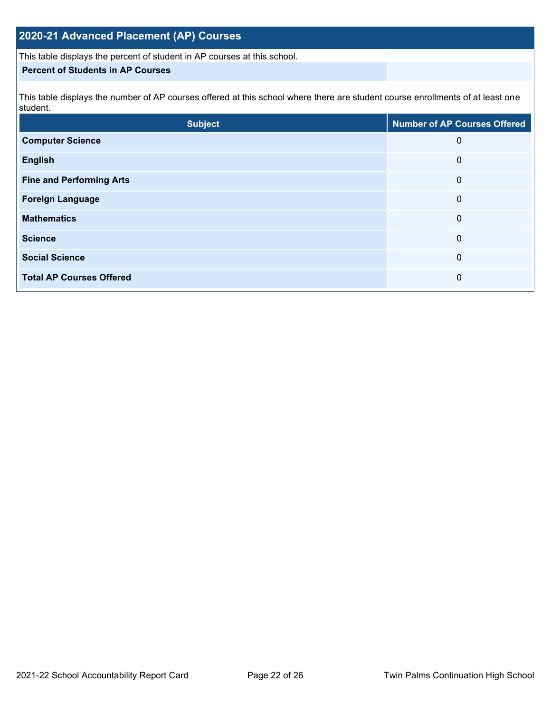# **2020-21 Advanced Placement (AP) Courses**

This table displays the percent of student in AP courses at this school.

### **Percent of Students in AP Courses**

This table displays the number of AP courses offered at this school where there are student course enrollments of at least one student.

| <b>Subject</b>                  | <b>Number of AP Courses Offered</b> |
|---------------------------------|-------------------------------------|
| <b>Computer Science</b>         | 0                                   |
| <b>English</b>                  | 0                                   |
| <b>Fine and Performing Arts</b> | 0                                   |
| <b>Foreign Language</b>         | 0                                   |
| <b>Mathematics</b>              | 0                                   |
| <b>Science</b>                  | 0                                   |
| <b>Social Science</b>           | 0                                   |
| <b>Total AP Courses Offered</b> | 0                                   |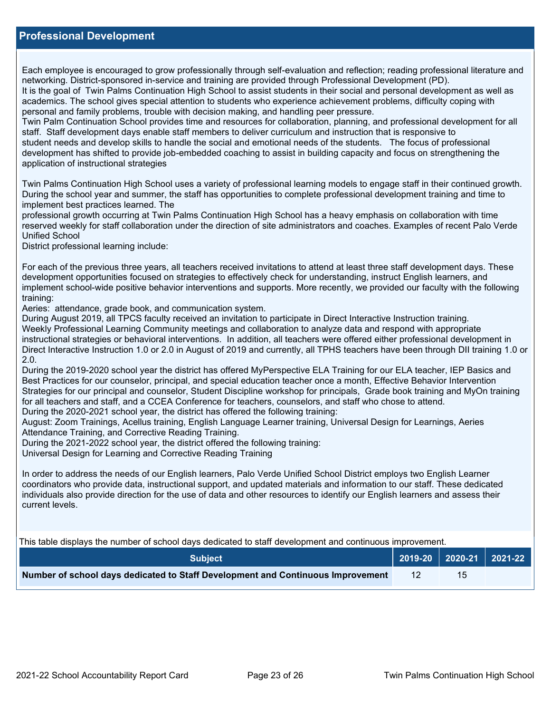### **Professional Development**

Each employee is encouraged to grow professionally through self-evaluation and reflection; reading professional literature and networking. District-sponsored in-service and training are provided through Professional Development (PD).

It is the goal of Twin Palms Continuation High School to assist students in their social and personal development as well as academics. The school gives special attention to students who experience achievement problems, difficulty coping with personal and family problems, trouble with decision making, and handling peer pressure.

Twin Palm Continuation School provides time and resources for collaboration, planning, and professional development for all staff. Staff development days enable staff members to deliver curriculum and instruction that is responsive to student needs and develop skills to handle the social and emotional needs of the students. The focus of professional development has shifted to provide job-embedded coaching to assist in building capacity and focus on strengthening the application of instructional strategies

Twin Palms Continuation High School uses a variety of professional learning models to engage staff in their continued growth. During the school year and summer, the staff has opportunities to complete professional development training and time to implement best practices learned. The

professional growth occurring at Twin Palms Continuation High School has a heavy emphasis on collaboration with time reserved weekly for staff collaboration under the direction of site administrators and coaches. Examples of recent Palo Verde Unified School

District professional learning include:

For each of the previous three years, all teachers received invitations to attend at least three staff development days. These development opportunities focused on strategies to effectively check for understanding, instruct English learners, and implement school-wide positive behavior interventions and supports. More recently, we provided our faculty with the following training:

Aeries: attendance, grade book, and communication system.

During August 2019, all TPCS faculty received an invitation to participate in Direct Interactive Instruction training. Weekly Professional Learning Community meetings and collaboration to analyze data and respond with appropriate instructional strategies or behavioral interventions. In addition, all teachers were offered either professional development in Direct Interactive Instruction 1.0 or 2.0 in August of 2019 and currently, all TPHS teachers have been through DII training 1.0 or 2.0.

During the 2019-2020 school year the district has offered MyPerspective ELA Training for our ELA teacher, IEP Basics and Best Practices for our counselor, principal, and special education teacher once a month, Effective Behavior Intervention Strategies for our principal and counselor, Student Discipline workshop for principals, Grade book training and MyOn training for all teachers and staff, and a CCEA Conference for teachers, counselors, and staff who chose to attend. During the 2020-2021 school year, the district has offered the following training:

August: Zoom Trainings, Acellus training, English Language Learner training, Universal Design for Learnings, Aeries Attendance Training, and Corrective Reading Training.

During the 2021-2022 school year, the district offered the following training:

Universal Design for Learning and Corrective Reading Training

In order to address the needs of our English learners, Palo Verde Unified School District employs two English Learner coordinators who provide data, instructional support, and updated materials and information to our staff. These dedicated individuals also provide direction for the use of data and other resources to identify our English learners and assess their current levels.

This table displays the number of school days dedicated to staff development and continuous improvement.

| <b>Subject</b>                                                                  |  | 2019-20   2020-21   2021-22 |
|---------------------------------------------------------------------------------|--|-----------------------------|
| Number of school days dedicated to Staff Development and Continuous Improvement |  |                             |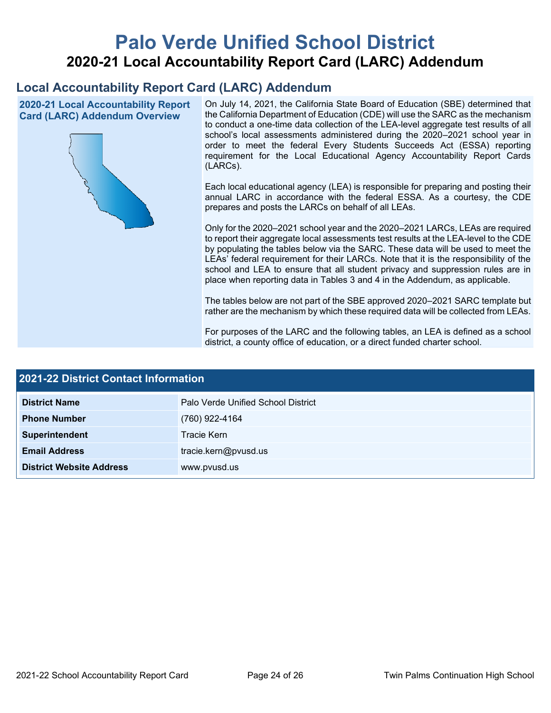# **Palo Verde Unified School District 2020-21 Local Accountability Report Card (LARC) Addendum**

# **Local Accountability Report Card (LARC) Addendum**

**2020-21 Local Accountability Report Card (LARC) Addendum Overview**



On July 14, 2021, the California State Board of Education (SBE) determined that the California Department of Education (CDE) will use the SARC as the mechanism to conduct a one-time data collection of the LEA-level aggregate test results of all school's local assessments administered during the 2020–2021 school year in order to meet the federal Every Students Succeeds Act (ESSA) reporting requirement for the Local Educational Agency Accountability Report Cards (LARCs).

Each local educational agency (LEA) is responsible for preparing and posting their annual LARC in accordance with the federal ESSA. As a courtesy, the CDE prepares and posts the LARCs on behalf of all LEAs.

Only for the 2020–2021 school year and the 2020–2021 LARCs, LEAs are required to report their aggregate local assessments test results at the LEA-level to the CDE by populating the tables below via the SARC. These data will be used to meet the LEAs' federal requirement for their LARCs. Note that it is the responsibility of the school and LEA to ensure that all student privacy and suppression rules are in place when reporting data in Tables 3 and 4 in the Addendum, as applicable.

The tables below are not part of the SBE approved 2020–2021 SARC template but rather are the mechanism by which these required data will be collected from LEAs.

For purposes of the LARC and the following tables, an LEA is defined as a school district, a county office of education, or a direct funded charter school.

| <b>2021-22 District Contact Information</b> |                                    |  |  |
|---------------------------------------------|------------------------------------|--|--|
| <b>District Name</b>                        | Palo Verde Unified School District |  |  |
| <b>Phone Number</b>                         | (760) 922-4164                     |  |  |
| Superintendent                              | Tracie Kern                        |  |  |
| <b>Email Address</b>                        | tracie.kern@pvusd.us               |  |  |
| <b>District Website Address</b>             | www.pvusd.us                       |  |  |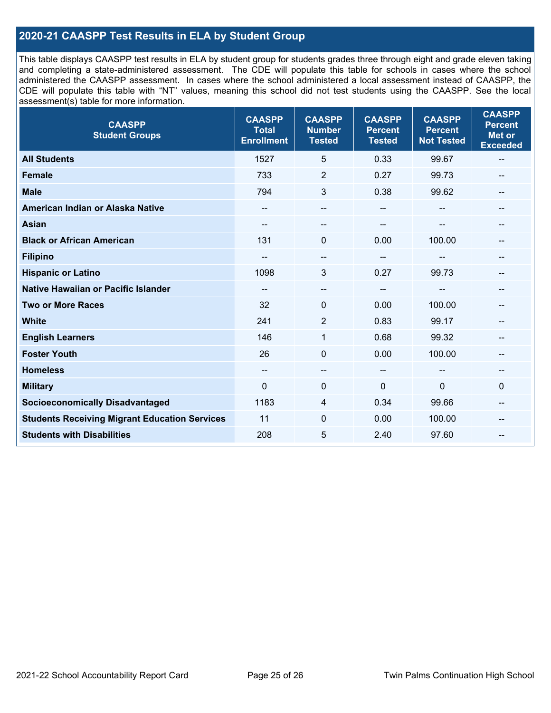### **2020-21 CAASPP Test Results in ELA by Student Group**

This table displays CAASPP test results in ELA by student group for students grades three through eight and grade eleven taking and completing a state-administered assessment. The CDE will populate this table for schools in cases where the school administered the CAASPP assessment. In cases where the school administered a local assessment instead of CAASPP, the CDE will populate this table with "NT" values, meaning this school did not test students using the CAASPP. See the local assessment(s) table for more information.

| <b>CAASPP</b><br><b>Student Groups</b>               | <b>CAASPP</b><br><b>Total</b><br><b>Enrollment</b> | <b>CAASPP</b><br><b>Number</b><br><b>Tested</b> | <b>CAASPP</b><br><b>Percent</b><br><b>Tested</b> | <b>CAASPP</b><br><b>Percent</b><br><b>Not Tested</b> | <b>CAASPP</b><br><b>Percent</b><br><b>Met or</b><br><b>Exceeded</b> |
|------------------------------------------------------|----------------------------------------------------|-------------------------------------------------|--------------------------------------------------|------------------------------------------------------|---------------------------------------------------------------------|
| <b>All Students</b>                                  | 1527                                               | 5                                               | 0.33                                             | 99.67                                                | --                                                                  |
| <b>Female</b>                                        | 733                                                | $\overline{2}$                                  | 0.27                                             | 99.73                                                | --                                                                  |
| <b>Male</b>                                          | 794                                                | 3                                               | 0.38                                             | 99.62                                                | --                                                                  |
| American Indian or Alaska Native                     | $\qquad \qquad -$                                  | --                                              | $\overline{\phantom{a}}$                         |                                                      | --                                                                  |
| <b>Asian</b>                                         |                                                    | --                                              |                                                  |                                                      |                                                                     |
| <b>Black or African American</b>                     | 131                                                | $\Omega$                                        | 0.00                                             | 100.00                                               | --                                                                  |
| <b>Filipino</b>                                      |                                                    | --                                              |                                                  |                                                      |                                                                     |
| <b>Hispanic or Latino</b>                            | 1098                                               | 3                                               | 0.27                                             | 99.73                                                | --                                                                  |
| <b>Native Hawaiian or Pacific Islander</b>           | $- -$                                              | $\qquad \qquad -$                               | $\overline{\phantom{a}}$                         | --                                                   | --                                                                  |
| <b>Two or More Races</b>                             | 32                                                 | 0                                               | 0.00                                             | 100.00                                               |                                                                     |
| <b>White</b>                                         | 241                                                | 2                                               | 0.83                                             | 99.17                                                | --                                                                  |
| <b>English Learners</b>                              | 146                                                | $\mathbf{1}$                                    | 0.68                                             | 99.32                                                |                                                                     |
| <b>Foster Youth</b>                                  | 26                                                 | $\mathbf 0$                                     | 0.00                                             | 100.00                                               | --                                                                  |
| <b>Homeless</b>                                      | $\qquad \qquad -$                                  | --                                              | $\overline{\phantom{a}}$                         |                                                      | --                                                                  |
| <b>Military</b>                                      | $\Omega$                                           | 0                                               | 0                                                | $\overline{0}$                                       | $\mathbf 0$                                                         |
| <b>Socioeconomically Disadvantaged</b>               | 1183                                               | 4                                               | 0.34                                             | 99.66                                                | --                                                                  |
| <b>Students Receiving Migrant Education Services</b> | 11                                                 | 0                                               | 0.00                                             | 100.00                                               |                                                                     |
| <b>Students with Disabilities</b>                    | 208                                                | 5                                               | 2.40                                             | 97.60                                                |                                                                     |